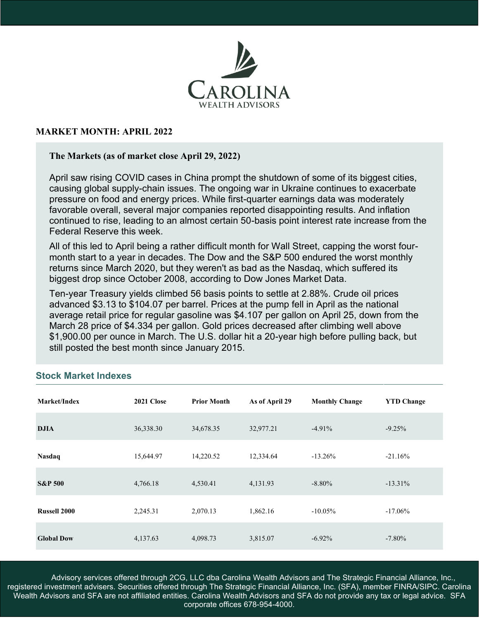

## **MARKET MONTH: APRIL 2022**

#### **The Markets (as of market close April 29, 2022)**

April saw rising COVID cases in China prompt the shutdown of some of its biggest cities, causing global supply-chain issues. The ongoing war in Ukraine continues to exacerbate pressure on food and energy prices. While first-quarter earnings data was moderately favorable overall, several major companies reported disappointing results. And inflation continued to rise, leading to an almost certain 50-basis point interest rate increase from the Federal Reserve this week.

All of this led to April being a rather difficult month for Wall Street, capping the worst fourmonth start to a year in decades. The Dow and the S&P 500 endured the worst monthly returns since March 2020, but they weren't as bad as the Nasdaq, which suffered its biggest drop since October 2008, according to Dow Jones Market Data.

Ten-year Treasury yields climbed 56 basis points to settle at 2.88%. Crude oil prices advanced \$3.13 to \$104.07 per barrel. Prices at the pump fell in April as the national average retail price for regular gasoline was \$4.107 per gallon on April 25, down from the March 28 price of \$4.334 per gallon. Gold prices decreased after climbing well above \$1,900.00 per ounce in March. The U.S. dollar hit a 20-year high before pulling back, but still posted the best month since January 2015.

| Market/Index       | 2021 Close | <b>Prior Month</b> | As of April 29 | <b>Monthly Change</b> | <b>YTD Change</b> |
|--------------------|------------|--------------------|----------------|-----------------------|-------------------|
| <b>DJIA</b>        | 36,338.30  | 34,678.35          | 32,977.21      | $-4.91\%$             | $-9.25%$          |
| Nasdaq             | 15,644.97  | 14,220.52          | 12,334.64      | $-13.26%$             | $-21.16%$         |
| <b>S&amp;P 500</b> | 4,766.18   | 4,530.41           | 4,131.93       | $-8.80\%$             | $-13.31\%$        |
| Russell 2000       | 2,245.31   | 2,070.13           | 1,862.16       | $-10.05\%$            | $-17.06\%$        |
| <b>Global Dow</b>  | 4,137.63   | 4,098.73           | 3,815.07       | $-6.92\%$             | $-7.80\%$         |

#### **Stock Market Indexes**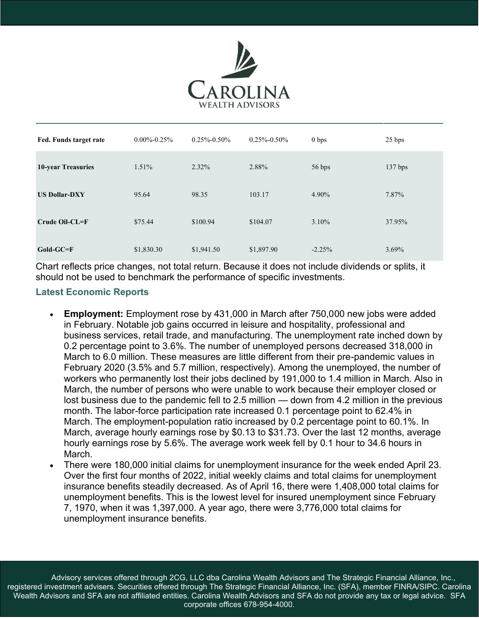

| Fed. Funds target rate    | $0.00\% - 0.25\%$ | $0.25\% - 0.50\%$ | $0.25\% - 0.50\%$ | 0 <sub>bps</sub> | 25 bps  |
|---------------------------|-------------------|-------------------|-------------------|------------------|---------|
| <b>10-year Treasuries</b> | $1.51\%$          | 2.32%             | 2.88%             | 56 bps           | 137 bps |
| <b>US Dollar-DXY</b>      | 95.64             | 98.35             | 103.17            | 4.90%            | 7.87%   |
| $Crude Oil-CL=F$          | \$75.44           | \$100.94          | \$104.07          | $3.10\%$         | 37.95%  |
| $Gold-GC=F$               | \$1,830.30        | \$1,941.50        | \$1,897.90        | $-2.25%$         | 3.69%   |

Chart reflects price changes, not total return. Because it does not include dividends or splits, it should not be used to benchmark the performance of specific investments.

# **Latest Economic Reports**

- **Employment:** Employment rose by 431,000 in March after 750,000 new jobs were added in February. Notable job gains occurred in leisure and hospitality, professional and business services, retail trade, and manufacturing. The unemployment rate inched down by 0.2 percentage point to 3.6%. The number of unemployed persons decreased 318,000 in March to 6.0 million. These measures are little different from their pre-pandemic values in February 2020 (3.5% and 5.7 million, respectively). Among the unemployed, the number of workers who permanently lost their jobs declined by 191,000 to 1.4 million in March. Also in March, the number of persons who were unable to work because their employer closed or lost business due to the pandemic fell to 2.5 million — down from 4.2 million in the previous month. The labor-force participation rate increased 0.1 percentage point to 62.4% in March. The employment-population ratio increased by 0.2 percentage point to 60.1%. In March, average hourly earnings rose by \$0.13 to \$31.73. Over the last 12 months, average hourly earnings rose by 5.6%. The average work week fell by 0.1 hour to 34.6 hours in March.
- There were 180,000 initial claims for unemployment insurance for the week ended April 23. Over the first four months of 2022, initial weekly claims and total claims for unemployment insurance benefits steadily decreased. As of April 16, there were 1,408,000 total claims for unemployment benefits. This is the lowest level for insured unemployment since February 7, 1970, when it was 1,397,000. A year ago, there were 3,776,000 total claims for unemployment insurance benefits.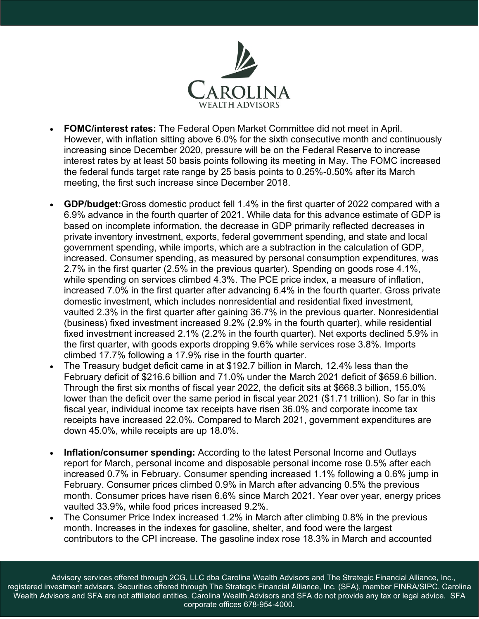

- **FOMC/interest rates:** The Federal Open Market Committee did not meet in April. However, with inflation sitting above 6.0% for the sixth consecutive month and continuously increasing since December 2020, pressure will be on the Federal Reserve to increase interest rates by at least 50 basis points following its meeting in May. The FOMC increased the federal funds target rate range by 25 basis points to 0.25%-0.50% after its March meeting, the first such increase since December 2018.
- **GDP/budget:**Gross domestic product fell 1.4% in the first quarter of 2022 compared with a 6.9% advance in the fourth quarter of 2021. While data for this advance estimate of GDP is based on incomplete information, the decrease in GDP primarily reflected decreases in private inventory investment, exports, federal government spending, and state and local government spending, while imports, which are a subtraction in the calculation of GDP, increased. Consumer spending, as measured by personal consumption expenditures, was 2.7% in the first quarter (2.5% in the previous quarter). Spending on goods rose 4.1%, while spending on services climbed 4.3%. The PCE price index, a measure of inflation, increased 7.0% in the first quarter after advancing 6.4% in the fourth quarter. Gross private domestic investment, which includes nonresidential and residential fixed investment, vaulted 2.3% in the first quarter after gaining 36.7% in the previous quarter. Nonresidential (business) fixed investment increased 9.2% (2.9% in the fourth quarter), while residential fixed investment increased 2.1% (2.2% in the fourth quarter). Net exports declined 5.9% in the first quarter, with goods exports dropping 9.6% while services rose 3.8%. Imports climbed 17.7% following a 17.9% rise in the fourth quarter.
- The Treasury budget deficit came in at \$192.7 billion in March, 12.4% less than the February deficit of \$216.6 billion and 71.0% under the March 2021 deficit of \$659.6 billion. Through the first six months of fiscal year 2022, the deficit sits at \$668.3 billion, 155.0% lower than the deficit over the same period in fiscal year 2021 (\$1.71 trillion). So far in this fiscal year, individual income tax receipts have risen 36.0% and corporate income tax receipts have increased 22.0%. Compared to March 2021, government expenditures are down 45.0%, while receipts are up 18.0%.
- **Inflation/consumer spending:** According to the latest Personal Income and Outlays report for March, personal income and disposable personal income rose 0.5% after each increased 0.7% in February. Consumer spending increased 1.1% following a 0.6% jump in February. Consumer prices climbed 0.9% in March after advancing 0.5% the previous month. Consumer prices have risen 6.6% since March 2021. Year over year, energy prices vaulted 33.9%, while food prices increased 9.2%.
- The Consumer Price Index increased 1.2% in March after climbing 0.8% in the previous month. Increases in the indexes for gasoline, shelter, and food were the largest contributors to the CPI increase. The gasoline index rose 18.3% in March and accounted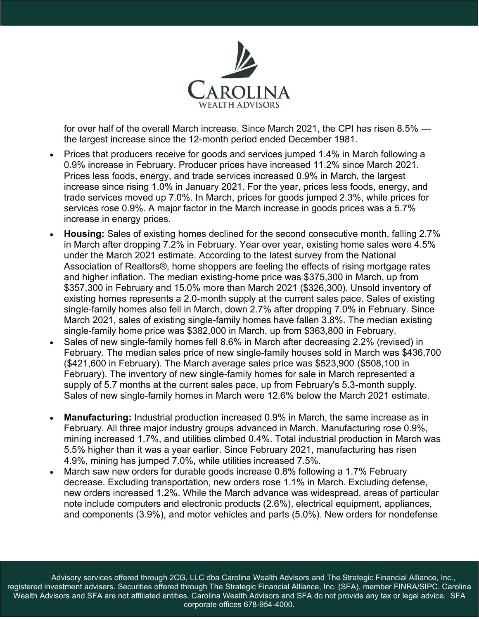

for over half of the overall March increase. Since March 2021, the CPI has risen 8.5% the largest increase since the 12-month period ended December 1981.

- Prices that producers receive for goods and services jumped 1.4% in March following a 0.9% increase in February. Producer prices have increased 11.2% since March 2021. Prices less foods, energy, and trade services increased 0.9% in March, the largest increase since rising 1.0% in January 2021. For the year, prices less foods, energy, and trade services moved up 7.0%. In March, prices for goods jumped 2.3%, while prices for services rose 0.9%. A major factor in the March increase in goods prices was a 5.7% increase in energy prices.
- **Housing:** Sales of existing homes declined for the second consecutive month, falling 2.7% in March after dropping 7.2% in February. Year over year, existing home sales were 4.5% under the March 2021 estimate. According to the latest survey from the National Association of Realtors®, home shoppers are feeling the effects of rising mortgage rates and higher inflation. The median existing-home price was \$375,300 in March, up from \$357,300 in February and 15.0% more than March 2021 (\$326,300). Unsold inventory of existing homes represents a 2.0-month supply at the current sales pace. Sales of existing single-family homes also fell in March, down 2.7% after dropping 7.0% in February. Since March 2021, sales of existing single-family homes have fallen 3.8%. The median existing single-family home price was \$382,000 in March, up from \$363,800 in February.
- Sales of new single-family homes fell 8.6% in March after decreasing 2.2% (revised) in February. The median sales price of new single-family houses sold in March was \$436,700 (\$421,600 in February). The March average sales price was \$523,900 (\$508,100 in February). The inventory of new single-family homes for sale in March represented a supply of 5.7 months at the current sales pace, up from February's 5.3-month supply. Sales of new single-family homes in March were 12.6% below the March 2021 estimate.
- **Manufacturing:** Industrial production increased 0.9% in March, the same increase as in February. All three major industry groups advanced in March. Manufacturing rose 0.9%, mining increased 1.7%, and utilities climbed 0.4%. Total industrial production in March was 5.5% higher than it was a year earlier. Since February 2021, manufacturing has risen 4.9%, mining has jumped 7.0%, while utilities increased 7.5%.
- March saw new orders for durable goods increase 0.8% following a 1.7% February decrease. Excluding transportation, new orders rose 1.1% in March. Excluding defense, new orders increased 1.2%. While the March advance was widespread, areas of particular note include computers and electronic products (2.6%), electrical equipment, appliances, and components (3.9%), and motor vehicles and parts (5.0%). New orders for nondefense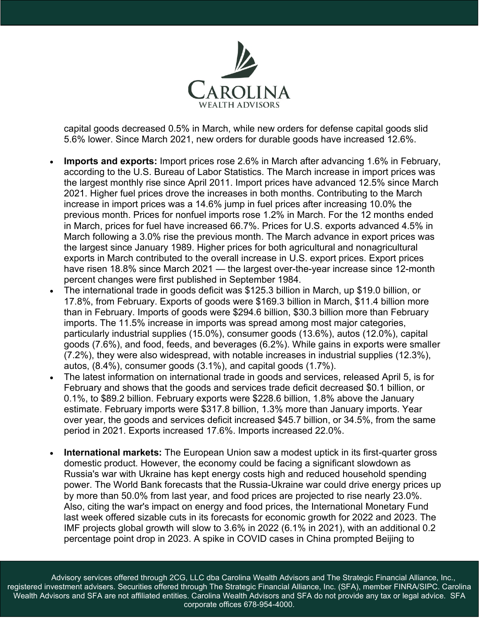

capital goods decreased 0.5% in March, while new orders for defense capital goods slid 5.6% lower. Since March 2021, new orders for durable goods have increased 12.6%.

- **Imports and exports:** Import prices rose 2.6% in March after advancing 1.6% in February, according to the U.S. Bureau of Labor Statistics. The March increase in import prices was the largest monthly rise since April 2011. Import prices have advanced 12.5% since March 2021. Higher fuel prices drove the increases in both months. Contributing to the March increase in import prices was a 14.6% jump in fuel prices after increasing 10.0% the previous month. Prices for nonfuel imports rose 1.2% in March. For the 12 months ended in March, prices for fuel have increased 66.7%. Prices for U.S. exports advanced 4.5% in March following a 3.0% rise the previous month. The March advance in export prices was the largest since January 1989. Higher prices for both agricultural and nonagricultural exports in March contributed to the overall increase in U.S. export prices. Export prices have risen 18.8% since March 2021 — the largest over-the-year increase since 12-month percent changes were first published in September 1984.
- The international trade in goods deficit was \$125.3 billion in March, up \$19.0 billion, or 17.8%, from February. Exports of goods were \$169.3 billion in March, \$11.4 billion more than in February. Imports of goods were \$294.6 billion, \$30.3 billion more than February imports. The 11.5% increase in imports was spread among most major categories, particularly industrial supplies (15.0%), consumer goods (13.6%), autos (12.0%), capital goods (7.6%), and food, feeds, and beverages (6.2%). While gains in exports were smaller (7.2%), they were also widespread, with notable increases in industrial supplies (12.3%), autos, (8.4%), consumer goods (3.1%), and capital goods (1.7%).
- The latest information on international trade in goods and services, released April 5, is for February and shows that the goods and services trade deficit decreased \$0.1 billion, or 0.1%, to \$89.2 billion. February exports were \$228.6 billion, 1.8% above the January estimate. February imports were \$317.8 billion, 1.3% more than January imports. Year over year, the goods and services deficit increased \$45.7 billion, or 34.5%, from the same period in 2021. Exports increased 17.6%. Imports increased 22.0%.
- **International markets:** The European Union saw a modest uptick in its first-quarter gross domestic product. However, the economy could be facing a significant slowdown as Russia's war with Ukraine has kept energy costs high and reduced household spending power. The World Bank forecasts that the Russia-Ukraine war could drive energy prices up by more than 50.0% from last year, and food prices are projected to rise nearly 23.0%. Also, citing the war's impact on energy and food prices, the International Monetary Fund last week offered sizable cuts in its forecasts for economic growth for 2022 and 2023. The IMF projects global growth will slow to 3.6% in 2022 (6.1% in 2021), with an additional 0.2 percentage point drop in 2023. A spike in COVID cases in China prompted Beijing to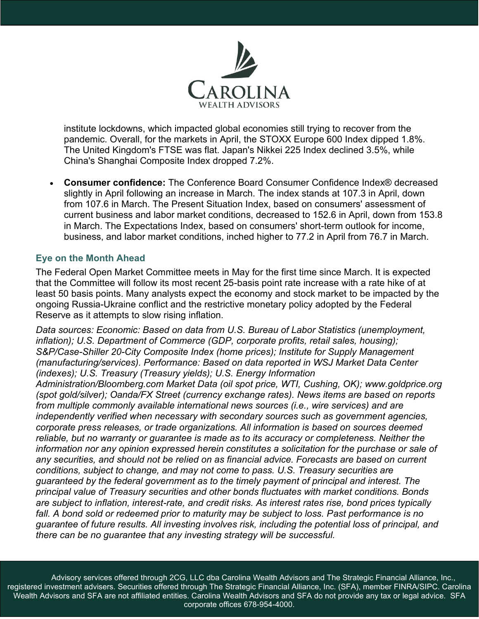

institute lockdowns, which impacted global economies still trying to recover from the pandemic. Overall, for the markets in April, the STOXX Europe 600 Index dipped 1.8%. The United Kingdom's FTSE was flat. Japan's Nikkei 225 Index declined 3.5%, while China's Shanghai Composite Index dropped 7.2%.

• **Consumer confidence:** The Conference Board Consumer Confidence Index® decreased slightly in April following an increase in March. The index stands at 107.3 in April, down from 107.6 in March. The Present Situation Index, based on consumers' assessment of current business and labor market conditions, decreased to 152.6 in April, down from 153.8 in March. The Expectations Index, based on consumers' short-term outlook for income, business, and labor market conditions, inched higher to 77.2 in April from 76.7 in March.

# **Eye on the Month Ahead**

The Federal Open Market Committee meets in May for the first time since March. It is expected that the Committee will follow its most recent 25-basis point rate increase with a rate hike of at least 50 basis points. Many analysts expect the economy and stock market to be impacted by the ongoing Russia-Ukraine conflict and the restrictive monetary policy adopted by the Federal Reserve as it attempts to slow rising inflation.

*Data sources: Economic: Based on data from U.S. Bureau of Labor Statistics (unemployment, inflation); U.S. Department of Commerce (GDP, corporate profits, retail sales, housing); S&P/Case-Shiller 20-City Composite Index (home prices); Institute for Supply Management (manufacturing/services). Performance: Based on data reported in WSJ Market Data Center (indexes); U.S. Treasury (Treasury yields); U.S. Energy Information* 

*Administration/Bloomberg.com Market Data (oil spot price, WTI, Cushing, OK); www.goldprice.org (spot gold/silver); Oanda/FX Street (currency exchange rates). News items are based on reports from multiple commonly available international news sources (i.e., wire services) and are independently verified when necessary with secondary sources such as government agencies, corporate press releases, or trade organizations. All information is based on sources deemed reliable, but no warranty or guarantee is made as to its accuracy or completeness. Neither the information nor any opinion expressed herein constitutes a solicitation for the purchase or sale of any securities, and should not be relied on as financial advice. Forecasts are based on current conditions, subject to change, and may not come to pass. U.S. Treasury securities are guaranteed by the federal government as to the timely payment of principal and interest. The principal value of Treasury securities and other bonds fluctuates with market conditions. Bonds are subject to inflation, interest-rate, and credit risks. As interest rates rise, bond prices typically fall. A bond sold or redeemed prior to maturity may be subject to loss. Past performance is no guarantee of future results. All investing involves risk, including the potential loss of principal, and there can be no guarantee that any investing strategy will be successful.*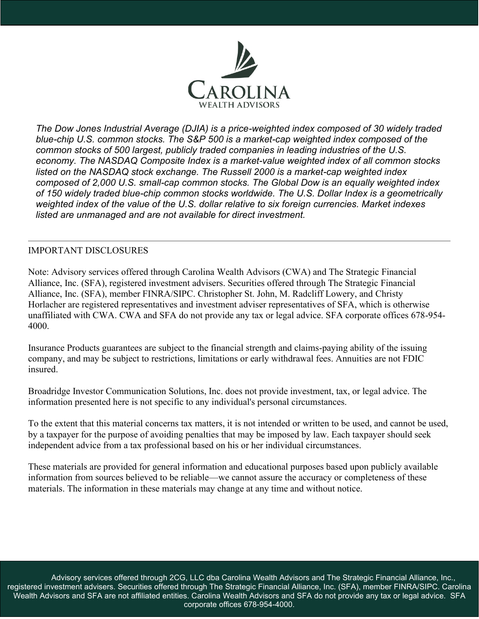

*The Dow Jones Industrial Average (DJIA) is a price-weighted index composed of 30 widely traded blue-chip U.S. common stocks. The S&P 500 is a market-cap weighted index composed of the common stocks of 500 largest, publicly traded companies in leading industries of the U.S. economy. The NASDAQ Composite Index is a market-value weighted index of all common stocks listed on the NASDAQ stock exchange. The Russell 2000 is a market-cap weighted index composed of 2,000 U.S. small-cap common stocks. The Global Dow is an equally weighted index of 150 widely traded blue-chip common stocks worldwide. The U.S. Dollar Index is a geometrically weighted index of the value of the U.S. dollar relative to six foreign currencies. Market indexes listed are unmanaged and are not available for direct investment.*

## IMPORTANT DISCLOSURES

Note: Advisory services offered through Carolina Wealth Advisors (CWA) and The Strategic Financial Alliance, Inc. (SFA), registered investment advisers. Securities offered through The Strategic Financial Alliance, Inc. (SFA), member FINRA/SIPC. Christopher St. John, M. Radcliff Lowery, and Christy Horlacher are registered representatives and investment adviser representatives of SFA, which is otherwise unaffiliated with CWA. CWA and SFA do not provide any tax or legal advice. SFA corporate offices 678-954- 4000.

Insurance Products guarantees are subject to the financial strength and claims-paying ability of the issuing company, and may be subject to restrictions, limitations or early withdrawal fees. Annuities are not FDIC insured.

Broadridge Investor Communication Solutions, Inc. does not provide investment, tax, or legal advice. The information presented here is not specific to any individual's personal circumstances.

To the extent that this material concerns tax matters, it is not intended or written to be used, and cannot be used, by a taxpayer for the purpose of avoiding penalties that may be imposed by law. Each taxpayer should seek independent advice from a tax professional based on his or her individual circumstances.

These materials are provided for general information and educational purposes based upon publicly available information from sources believed to be reliable—we cannot assure the accuracy or completeness of these materials. The information in these materials may change at any time and without notice.